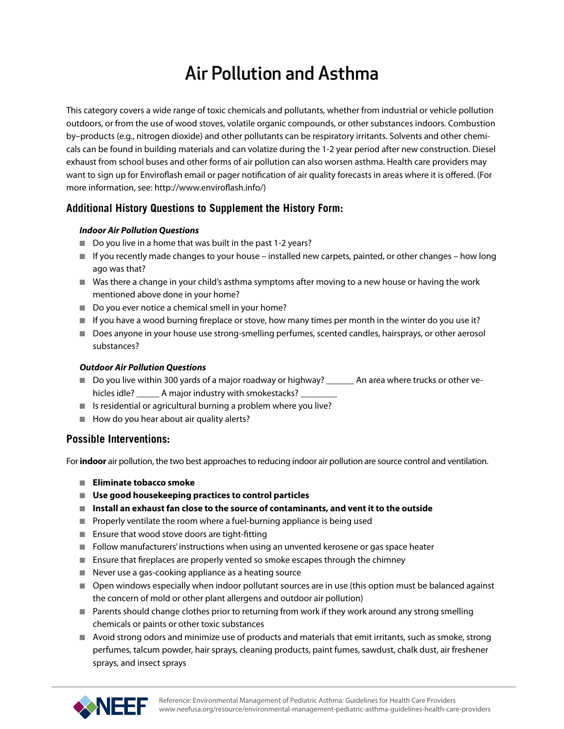# Air Pollution and Asthma

This category covers a wide range of toxic chemicals and pollutants, whether from industrial or vehicle pollution outdoors, or from the use of wood stoves, volatile organic compounds, or other substances indoors. Combustion by–products (e.g., nitrogen dioxide) and other pollutants can be respiratory irritants. Solvents and other chemicals can be found in building materials and can volatize during the 1-2 year period after new construction. Diesel exhaust from school buses and other forms of air pollution can also worsen asthma. Health care providers may want to sign up for Enviroflash email or pager notification of air quality forecasts in areas where it is offered. (For more information, see: http://www.enviroflash.info/)

# **Additional History Questions to Supplement the History Form:**

### *Indoor Air Pollution Questions*

- $\Box$  Do you live in a home that was built in the past 1-2 years?
- $\blacksquare$  If you recently made changes to your house installed new carpets, painted, or other changes how long ago was that?
- $\blacksquare$  Was there a change in your child's asthma symptoms after moving to a new house or having the work mentioned above done in your home?
- $\Box$  Do you ever notice a chemical smell in your home?
- $\blacksquare$  If you have a wood burning fireplace or stove, how many times per month in the winter do you use it?
- Does anyone in your house use strong-smelling perfumes, scented candles, hairsprays, or other aerosol substances?

#### *Outdoor Air Pollution Questions*

- Do you live within 300 yards of a major roadway or highway? \_\_\_\_\_\_\_\_ An area where trucks or other vehicles idle? A major industry with smokestacks?
- $\blacksquare$  Is residential or agricultural burning a problem where you live?
- $\blacksquare$  How do you hear about air quality alerts?

# **Possible Interventions:**

For **indoor** air pollution, the two best approaches to reducing indoor air pollution are source control and ventilation.

- Eliminate tobacco smoke
- Use good housekeeping practices to control particles
- Install an exhaust fan close to the source of contaminants, and vent it to the outside
- $\blacksquare$  Properly ventilate the room where a fuel-burning appliance is being used
- $\blacksquare$  Ensure that wood stove doors are tight-fitting
- **n** Follow manufacturers' instructions when using an unvented kerosene or gas space heater
- $\blacksquare$  Ensure that fireplaces are properly vented so smoke escapes through the chimney
- $\blacksquare$  Never use a gas-cooking appliance as a heating source
- **n** Open windows especially when indoor pollutant sources are in use (this option must be balanced against the concern of mold or other plant allergens and outdoor air pollution)
- Parents should change clothes prior to returning from work if they work around any strong smelling chemicals or paints or other toxic substances
- n Avoid strong odors and minimize use of products and materials that emit irritants, such as smoke, strong perfumes, talcum powder, hair sprays, cleaning products, paint fumes, sawdust, chalk dust, air freshener sprays, and insect sprays